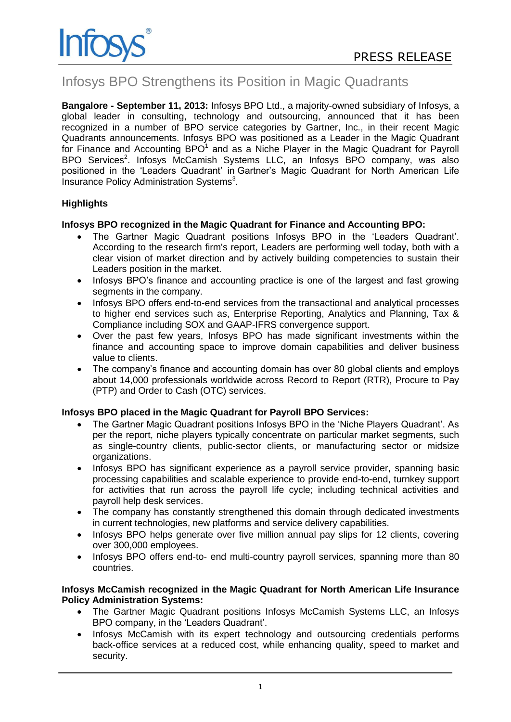

# Infosys BPO Strengthens its Position in Magic Quadrants

**Bangalore - September 11, 2013:** Infosys BPO Ltd., a majority-owned subsidiary of Infosys, a global leader in consulting, technology and outsourcing, announced that it has been recognized in a number of BPO service categories by Gartner, Inc., in their recent Magic Quadrants announcements. Infosys BPO was positioned as a Leader in the Magic Quadrant for Finance and Accounting BPO $1$  and as a Niche Player in the Magic Quadrant for Payroll BPO Services<sup>2</sup>. Infosys McCamish Systems LLC, an Infosys BPO company, was also positioned in the 'Leaders Quadrant' in Gartner's Magic Quadrant for North American Life Insurance Policy Administration Systems<sup>3</sup>.

# **Highlights**

# **Infosys BPO recognized in the Magic Quadrant for Finance and Accounting BPO:**

- The Gartner Magic Quadrant positions Infosys BPO in the 'Leaders Quadrant'. According to the research firm's report, Leaders are performing well today, both with a clear vision of market direction and by actively building competencies to sustain their Leaders position in the market.
- Infosys BPO's finance and accounting practice is one of the largest and fast growing segments in the company.
- Infosys BPO offers end-to-end services from the transactional and analytical processes to higher end services such as, Enterprise Reporting, Analytics and Planning, Tax & Compliance including SOX and GAAP-IFRS convergence support.
- Over the past few years, Infosys BPO has made significant investments within the finance and accounting space to improve domain capabilities and deliver business value to clients.
- The company's finance and accounting domain has over 80 global clients and employs about 14,000 professionals worldwide across Record to Report (RTR), Procure to Pay (PTP) and Order to Cash (OTC) services.

## **Infosys BPO placed in the Magic Quadrant for Payroll BPO Services:**

- The Gartner Magic Quadrant positions Infosys BPO in the 'Niche Players Quadrant'. As per the report, niche players typically concentrate on particular market segments, such as single-country clients, public-sector clients, or manufacturing sector or midsize organizations.
- Infosys BPO has significant experience as a payroll service provider, spanning basic processing capabilities and scalable experience to provide end-to-end, turnkey support for activities that run across the payroll life cycle; including technical activities and payroll help desk services.
- The company has constantly strengthened this domain through dedicated investments in current technologies, new platforms and service delivery capabilities.
- Infosys BPO helps generate over five million annual pay slips for 12 clients, covering over 300,000 employees.
- Infosys BPO offers end-to- end multi-country payroll services, spanning more than 80 countries.

#### **Infosys McCamish recognized in the Magic Quadrant for North American Life Insurance Policy Administration Systems:**

- The Gartner Magic Quadrant positions Infosys McCamish Systems LLC, an Infosys BPO company, in the 'Leaders Quadrant'.
- Infosys McCamish with its expert technology and outsourcing credentials performs back-office services at a reduced cost, while enhancing quality, speed to market and security.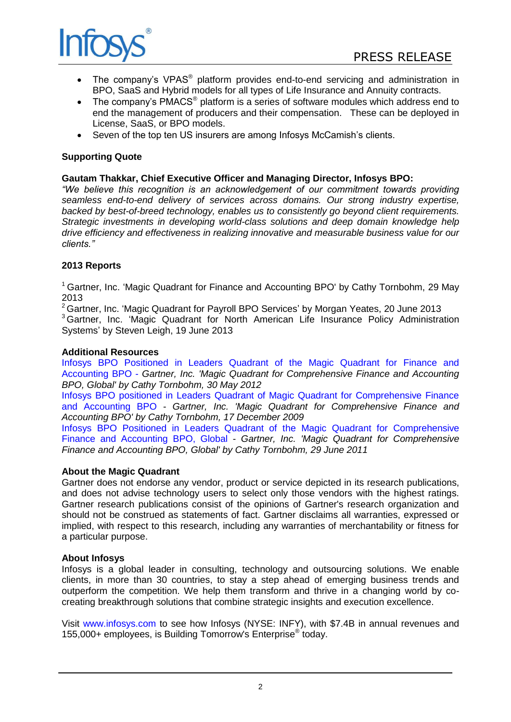

- The company's VPAS<sup>®</sup> platform provides end-to-end servicing and administration in BPO, SaaS and Hybrid models for all types of Life Insurance and Annuity contracts.
- The company's PMACS<sup>®</sup> platform is a series of software modules which address end to end the management of producers and their compensation. These can be deployed in License, SaaS, or BPO models.
- Seven of the top ten US insurers are among Infosys McCamish's clients.

# **Supporting Quote**

## **Gautam Thakkar, Chief Executive Officer and Managing Director, Infosys BPO:**

*"We believe this recognition is an acknowledgement of our commitment towards providing seamless end-to-end delivery of services across domains. Our strong industry expertise, backed by best-of-breed technology, enables us to consistently go beyond client requirements. Strategic investments in developing world-class solutions and deep domain knowledge help drive efficiency and effectiveness in realizing innovative and measurable business value for our clients."*

# **2013 Reports**

<sup>1</sup> Gartner, Inc. 'Magic Quadrant for Finance and Accounting BPO' by Cathy Tornbohm, 29 May 2013

<sup>2</sup> Gartner, Inc. 'Magic Quadrant for Payroll BPO Services' by Morgan Yeates, 20 June 2013 <sup>3</sup> Gartner, Inc. 'Magic Quadrant for North American Life Insurance Policy Administration Systems' by Steven Leigh, 19 June 2013

## **Additional Resources**

[Infosys BPO Positioned in Leaders Quadrant of the Magic Quadrant for Finance and](http://www.infosysbpo.com/newsroom/press-releases/Pages/leaders-quadrant-finance-accounting.aspx)  [Accounting BPO](http://www.infosysbpo.com/newsroom/press-releases/Pages/leaders-quadrant-finance-accounting.aspx) - *Gartner, Inc. 'Magic Quadrant for Comprehensive Finance and Accounting BPO, Global' by Cathy Tornbohm, 30 May 2012*

[Infosys BPO positioned in Leaders Quadrant of Magic Quadrant for Comprehensive Finance](http://www.infosysbpo.com/newsroom/press-releases/Pages/comprehensive-finance-accounting-MQ.aspx)  [and Accounting BPO](http://www.infosysbpo.com/newsroom/press-releases/Pages/comprehensive-finance-accounting-MQ.aspx) - *Gartner, Inc. 'Magic Quadrant for Comprehensive Finance and Accounting BPO' by Cathy Tornbohm, 17 December 2009*

[Infosys BPO Positioned in Leaders Quadrant of the Magic Quadrant for Comprehensive](http://www.infosysbpo.com/newsroom/press-releases/Pages/BPO-comprehensive-finance-accounting.aspx)  [Finance and Accounting BPO, Global](http://www.infosysbpo.com/newsroom/press-releases/Pages/BPO-comprehensive-finance-accounting.aspx) - *Gartner, Inc. 'Magic Quadrant for Comprehensive Finance and Accounting BPO, Global' by Cathy Tornbohm, 29 June 2011*

## **About the Magic Quadrant**

Gartner does not endorse any vendor, product or service depicted in its research publications, and does not advise technology users to select only those vendors with the highest ratings. Gartner research publications consist of the opinions of Gartner's research organization and should not be construed as statements of fact. Gartner disclaims all warranties, expressed or implied, with respect to this research, including any warranties of merchantability or fitness for a particular purpose.

#### **About Infosys**

Infosys is a global leader in consulting, technology and outsourcing solutions. We enable clients, in more than 30 countries, to stay a step ahead of emerging business trends and outperform the competition. We help them transform and thrive in a changing world by cocreating breakthrough solutions that combine strategic insights and execution excellence.

Visit [www.infosys.com](http://www.infosys.com/) to see how Infosys (NYSE: INFY), with \$7.4B in annual revenues and 155,000+ employees, is Building Tomorrow's Enterprise® today.